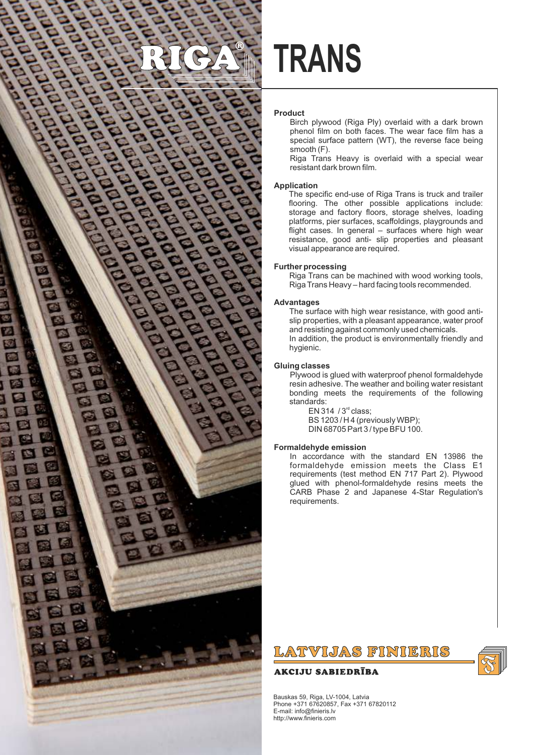

# **TRANS**

### **Product**

Birch plywood (Riga Ply) overlaid with a dark brown phenol film on both faces. The wear face film has a special surface pattern (WT), the reverse face being smooth (F).

Riga Trans Heavy is overlaid with a special wear resistant dark brown film.

### **Application**

The specific end-use of Riga Trans is truck and trailer flooring. The other possible applications include: storage and factory floors, storage shelves, loading platforms, pier surfaces, scaffoldings, playgrounds and flight cases. In general – surfaces where high wear resistance, good anti- slip properties and pleasant visual appearance are required.

### **Further processing**

Riga Trans can be machined with wood working tools, Riga Trans Heavy – hard facing tools recommended.

### **Advantages**

The surface with high wear resistance, with good antislip properties, with a pleasant appearance, water proof and resisting against commonly used chemicals. In addition, the product is environmentally friendly and hygienic.

### **Gluing classes**

Plywood is glued with waterproof phenol formaldehyde resin adhesive. The weather and boiling water resistant bonding meets the requirements of the following standards:

EN 314  $/3<sup>rd</sup>$  class; BS 1203 / H 4 (previously WBP); DIN 68705 Part 3 / type BFU 100.

### **Formaldehyde emission**

In accordance with the standard EN 13986 the formaldehyde emission meets the Class E1 requirements (test method EN 717 Part 2). Plywood glued with phenol-formaldehyde resins meets the CARB Phase 2 and Japanese 4-Star Regulation's requirements.

## LATVIJAS FINIERIS

### **AKCIJU SABIEDRĪBA**



Bauskas 59, Riga, LV-1004, Latvia Phone +371 67620857, Fax +371 67820112 E-mail: info@finieris.lv http://www.finieris.com